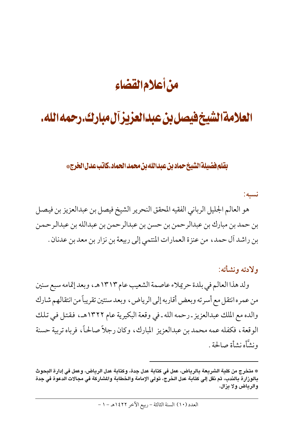# من أعلام القضاء

# العلامة الشيخ فيصل بن عبدالعزيز آل مبارك.رحمه الله.

بقلم فضيلة الشيخ حماد بن عبدالله بن محمد الحماد.كاتب عدل الخرج\*

نسىە:

هو العالم الجليل الرباني الفقيه المحقق النحرير الشيخ فيصل بن عبدالعزيز بن فيصل بن حمد بن مبارك بن عبدالرحمن بن حسن بن عبدالرحمن بن عبدالله بن عبدالرحمن بن راشد آل حمد، من عنزة العمارات المنتمى إلى ربيعة بن نزار بن معد بن عدنان .

ولادته ونشأته:

ولد هذا العالم في بلدة حريلاء عاصمة الشعيب عام ١٣١٣هـ، وبعد إتمامه سبع سنين من عمره انتقل مع أسرته وبعض أقاربه إلى الرياض، وبعد سنتين تقريباً من انتقالهم شارك والده مع الملك عبدالعزيز ـ رحمه الله ـ في وقعة البكيرية عام ١٣٢٢هـ، فقتل في تلك الوقعة ، فكفله عمه محمد بن عبدالعزيز ۖ المبارك ، وكان رجلاً صالحاً ، فرباه تربية حسنة ونشَّأه نشأة صالحة .

<sup>\*</sup> متخرج من كلية الشريعة بالرياض، عمل في كتابة عدل جدة، وكتابة عدل الرياض، وعمل في إدارة البحوث بالوزارة بالندب، ثم نقل إلى كتابة عدل الخرج، تولى الإمامة والخطابة والمشاركة في مجالات الدعوة في جدة والرياض ولا يزال.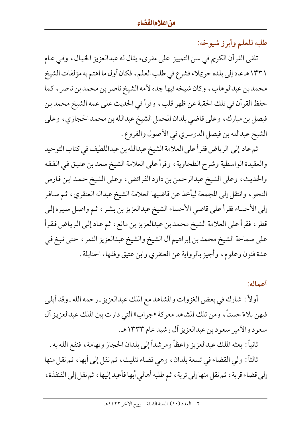طلبه للعلم وأبرز شيوخه:

تلقى القرآن الكريم في سن التمييز على مقرىء يقال له عبدالعزيز الخيال، وفي عـام ١٣٣١هـ عاد إلى بلده حريلاء فشرع في طلب العلم، فكان أول ما اهتم به مؤلفات الشيخ محمد بن عبدالوهاب، وكان شيخه فيها جده لأمه الشيخ ناصر بن محمد بن ناصر ، كما حفظ القرآن في تلك الحقبة عن ظهر قلب، وقرأ في الحديث على عمه الشيخ محمد بن فيصل بن مبارك، وعلى قاضي بلدان المحمل الشيخ عبدالله بن محمد الحجازي، وعلى الشيخ عبدالله بن فيصل الدوسري في الأصول والفروع.

ثم عاد إلى الرياض فقرأ على العلامة الشيخ عبدالله بن عبداللطيف في كتاب التوحيد والعقيدة الواسطية وشرح الطحاوية، وقرأ على العلامة الشيخ سعد بن عتيق في الفقه والحديث، وعلى الشيخ عبدالرحمن بن داود الفرائض، وعلى الشيخ حمد ابن فارس النحو ، وانتقل إلى المجمعة ليأخذ عن قاضيها العلامة الشيخ عبداله العنقري ، ثم سافر إلى الأحساء فقرأ على قاضي الأحساء الشيخ عبدالعزيز بن بشر ، ثم واصل سيره إلى قطر ، فقرأ على العلامة الشيخ محمد بن عبدالعزيز بن مانع ، ثم عاد إلى الرياض فقرأ على سماحة الشيخ محمد بن إبراهيم أل الشيخ والشيخ عبدالعزيز النمر ، حتى نبغ في عدة فنون وعلوم، وأجيز بالرواية عن العنقري وابن عتيق وفقهاء الحنابلة .

#### أعماله:

أولاً : شارك في بعض الغزوات والمشاهد مع الملك عبدالعزيز ـ رحمه الله ـ وقد أبليي فيهن بلاءً حسناً، ومن تلك المشاهد معركة «جراب» التي دارت بين الملك عبدالعزيز آل سعود والأمير سعود بن عبدالعزيز أل رشيد عام ١٣٣٣هـ.

ثانياً : بعثه الملك عبدالعزيز واعظاً ومرشداً إلى بلدان الحجاز وتهامة، فنفع الله به . ثالثاً: ولي القضاء في تسعة بلدان، وهي قضاء تثليث، ثم نقل إلى أبها، ثم نقل منها إلى قضاء قرية ، ثم نقل منها إلى تربة ، ثم طلبه أهالي أبها فأعيد إليها ، ثم نقل إلى القنفذة ،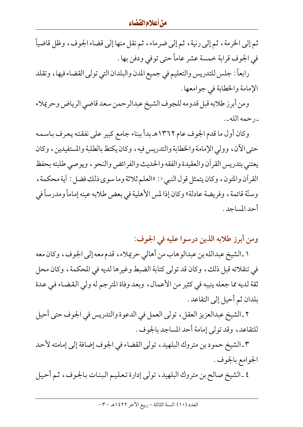ثم إلى الخرمة ، ثم إلى رنية ، ثم إلى ضرماء ، ثم نقل منها إلى قضاء الجوف ، وظل قاضياً في الجوف قرابة خمسة عشر عاماً حتى توفى ودفن بها .

رابعاً: جلس للتدريس والتعليم في جميع المدن والبلدان التي تولي القضاء فيها ، وتقلد الإمامة والخطابة في جوامعها .

ومن أبرز طلابه قبل قدومه للجوف الشيخ عبدالرحمن سعد قاضي الرياض وحريملاء ـ رحمه الله ـ .

وكان أول ما قدم الجوف عام ١٣٦٢هـ بدأ ببناء جامع كبير على نفقته يعرف باسمه حتى الآن، وولى الإمامة والخطابة والتدريس فيه ، وكان يكتظ بالطلبة والمستفيدين ، وكان يعتني بتدريس القرأن والعقيدة والفقه والحديث والفرائض والنحو ، ويوصىي طلبته بحفظ القرآن والمتون، وكان يتمثل قول النبي<: «العلم ثلاثة وما سوى ذلك فضل : آية محكمة ، وسنَّة قائمة ، وفريضة عادلة» وكان إذا لمس الأهلية في بعض طلابه عينه إماماً ومدرساً في أحد المساجد .

ومن أبرز طلابه الذين درسوا عليه في الجوف:

١ ـ الشيخ عبدالله بن عبدالوهاب من أهالي حريملاء ، قدم معه إلى الجوف ، وكان معه في تنقلاته قبل ذلك، وكان قد تولي كتابة الضبط وغيرها لديه في المحكمة، وكان محل ثقة لديه مما جعله ينيبه في كثير من الأعمال، وبعد وفاة المترجم له ولي القضاء في عدة بلدان ثم أحيل إلى التقاعد .

٢ ـ الشيخ عبدالعزيز العقل، تولى العمل في الدعوة والتدريس في الجوف حتى أحيل للتقاعد، وقد تولى إمامة أحد المساجد بالجوف .

٣ ـ الشيخ حمود بن متروك البلهيد، تولى القضاء في الجوف إضافة إلى إمامته لأحد الجوامع بالجوف .

٤ ـ الشيخ صالح بن متروك البلهيد، تولي إدارة تعليم البنات بالجوف، ثم أحيل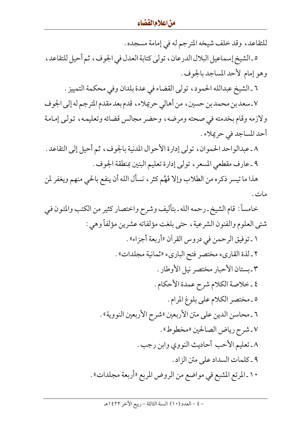للتقاعد، وقد خلف شيخه المترجم له في إمامة مسجده . ٥ ـ الشيخ إسماعيل البلال الدرعان ، تولَّى كتابة العدل في الجوف ، ثم أحيل للتقاعد ، وهو إمام لأحد المساجد بالجوف. ٦ ـ الشيخ عبدالله الحمود، تولى القضاء في عدة بلدان وفي محكمة التمييز . ٧ ـ سعد بن محمد بن حسين ، من أهالي حريملاء ، قدم بعد مقدم المترجم له إلى الجوف ولازمه وقام بخدمته في صحته ومرضه، وحضر مجالس قضائه وتعليمه، تولي إمامة أحد المساجد في حريلاء . ٨ ـ عبدالواحد الحموان، تولى إدارة الأحوال المدنية بالجوف، ثم أحيل إلى التقاعد . ٩ ـ عارف مقطعي المسعر ، تولي إدارة تعليم البنين بمنطقة الجوف . هذا ما تيسر ذكره من الطلاب وإلا فَهُم كثر ، نسأل الله أن ينفع بالحي منهم ويغفر لمن مات . خامساً : قام الشيخ ـ رحمه الله ـ بتأليف وشرح واختصار كثير من الكتب والمتون في شتى العلوم والفنون الشرعية ، حتى بلغت مؤلفاته عشرين مؤلفاً وهي : ١ ـ توفيق الرحمن في دروس القرآن «أربعة أجزاء» . ٢ ـ لذة القارىء مختصر فتح الباريء «ثمانية مجلدات» . ٣ ـ بستان الأحبار مختصر نيل الأوطار . ٤ ـ خلاصة الكلام شرح عمدة الأحكام . ٥ ـ مختصر الكلام على بلوغ المرام. ٦ ـ محاسن الدين على متن الأربعين «شرح الأربعين النووية» . ٧ ـ شرح رياض الصالحين «مخطوط» . ٨ ـ تعليم الأحب أحاديث النووي وابن رجب . ٩ ـ كلمات السداد على متن الزاد. ١٠ ـ المرتع المشبع في مواضع من الروض المربع «أربعة مجلدات» .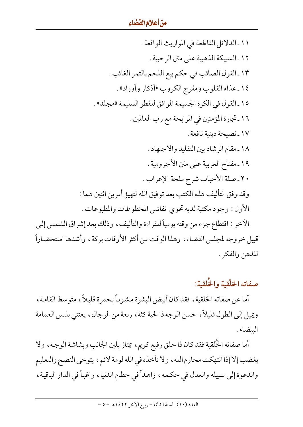١١ ـ الدلائل القاطعة في المواريث الواقعة . ١٢ ـ السبيكة الذهبية على متن الرحبية . ١٣ ـ القول الصائب في حكم بيع اللحم بالتمر الغائب . ١٤ ـ غذاء القلوب ومفرج الكروب «أذكار وأوراد» . ١٥ ـ القول في الكرة الجسيمة الموافق للفطر السليمة «مجلد» . ١٦ ـ تجارة المؤمنين في المرابحة مع رب العالمين . ١٧ ـ نصيحة دينية نافعة . ١٨ ـ مقام الرشاد بين التقليد والاجتهاد . ١٩ ـ مفتاح العربية على متن الأجرومية . ٢٠ ـ صلة الأحباب شرح ملحة الإعراب . وقد وفق لتأليف هذه الكتب بعد توفيق الله لتهيؤ أمرين اثنين هما : الأول : وجود مكتبة لديه تحوى نفائس المخطوطات والمطبوعات . الآخر : اقتطاع جزء من وقته يومياً للقراءة والتأليف، وذلك بعد إشراق الشمس إلىي قبيل خروجه لمجلس القضاء، وهذا الوقت من أكثر الأوقات بركة، وأشدها استحضاراً للذهن والفكر .

## صفاته الخلْقية والخُلقية:

أما عن صفاته الخلقية ، فقد كان أبيض البشرة مشوباً بحمرة قليلاً ، متوسط القامة ، ويميل إلى الطول قليلاً، حسن الوجه ذا لحية كثة ، ربعة من الرجال ، يعتني بلبس العمامة البيضاء .

أما صفاته الخُلقية فقد كان ذا خلق رفيع كريم، يمتاز بلين الجانب وبشاشة الوجه، ولا يغضب إلا إذا انتهكت محارم الله ، ولا تأخذه في الله لومة لائم ، يتوخى النصح والتعليم والدعوة إلى سبيله والعدل في حكمه، زاهداً في حطام الدنيا، راغباً في الدار الباقية،